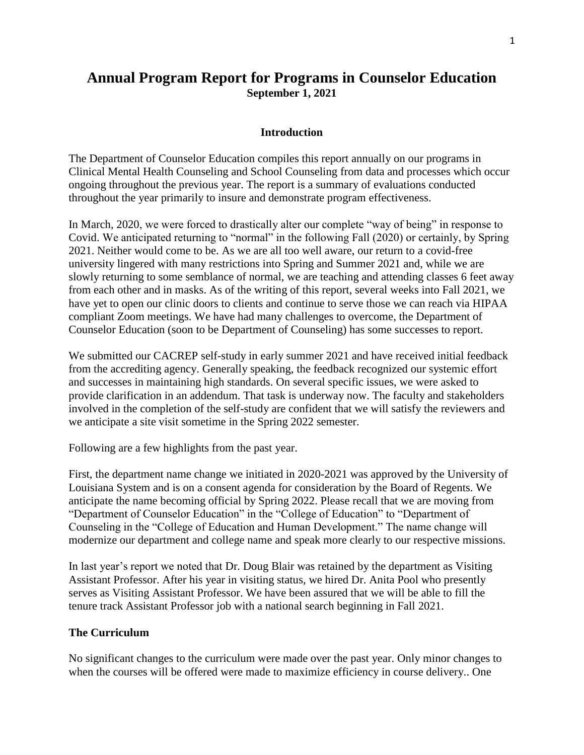# **Annual Program Report for Programs in Counselor Education September 1, 2021**

#### **Introduction**

The Department of Counselor Education compiles this report annually on our programs in Clinical Mental Health Counseling and School Counseling from data and processes which occur ongoing throughout the previous year. The report is a summary of evaluations conducted throughout the year primarily to insure and demonstrate program effectiveness.

In March, 2020, we were forced to drastically alter our complete "way of being" in response to Covid. We anticipated returning to "normal" in the following Fall (2020) or certainly, by Spring 2021. Neither would come to be. As we are all too well aware, our return to a covid-free university lingered with many restrictions into Spring and Summer 2021 and, while we are slowly returning to some semblance of normal, we are teaching and attending classes 6 feet away from each other and in masks. As of the writing of this report, several weeks into Fall 2021, we have yet to open our clinic doors to clients and continue to serve those we can reach via HIPAA compliant Zoom meetings. We have had many challenges to overcome, the Department of Counselor Education (soon to be Department of Counseling) has some successes to report.

We submitted our CACREP self-study in early summer 2021 and have received initial feedback from the accrediting agency. Generally speaking, the feedback recognized our systemic effort and successes in maintaining high standards. On several specific issues, we were asked to provide clarification in an addendum. That task is underway now. The faculty and stakeholders involved in the completion of the self-study are confident that we will satisfy the reviewers and we anticipate a site visit sometime in the Spring 2022 semester.

Following are a few highlights from the past year.

First, the department name change we initiated in 2020-2021 was approved by the University of Louisiana System and is on a consent agenda for consideration by the Board of Regents. We anticipate the name becoming official by Spring 2022. Please recall that we are moving from "Department of Counselor Education" in the "College of Education" to "Department of Counseling in the "College of Education and Human Development." The name change will modernize our department and college name and speak more clearly to our respective missions.

In last year's report we noted that Dr. Doug Blair was retained by the department as Visiting Assistant Professor. After his year in visiting status, we hired Dr. Anita Pool who presently serves as Visiting Assistant Professor. We have been assured that we will be able to fill the tenure track Assistant Professor job with a national search beginning in Fall 2021.

#### **The Curriculum**

No significant changes to the curriculum were made over the past year. Only minor changes to when the courses will be offered were made to maximize efficiency in course delivery.. One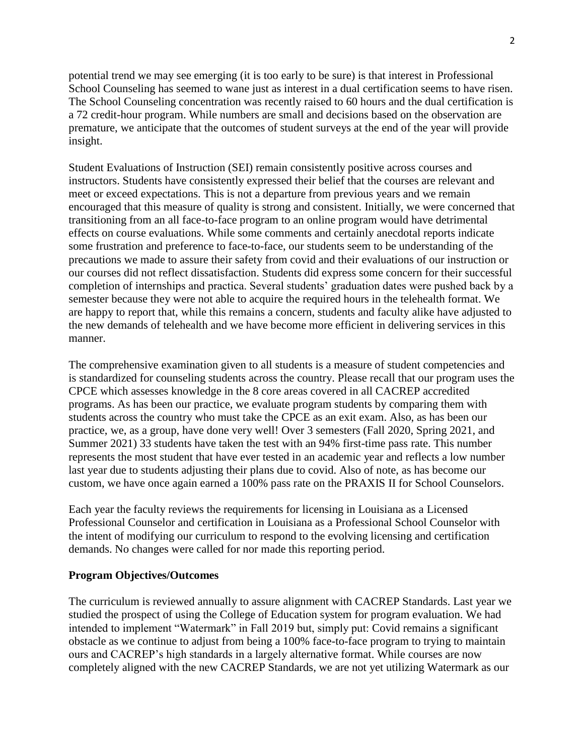potential trend we may see emerging (it is too early to be sure) is that interest in Professional School Counseling has seemed to wane just as interest in a dual certification seems to have risen. The School Counseling concentration was recently raised to 60 hours and the dual certification is a 72 credit-hour program. While numbers are small and decisions based on the observation are premature, we anticipate that the outcomes of student surveys at the end of the year will provide insight.

Student Evaluations of Instruction (SEI) remain consistently positive across courses and instructors. Students have consistently expressed their belief that the courses are relevant and meet or exceed expectations. This is not a departure from previous years and we remain encouraged that this measure of quality is strong and consistent. Initially, we were concerned that transitioning from an all face-to-face program to an online program would have detrimental effects on course evaluations. While some comments and certainly anecdotal reports indicate some frustration and preference to face-to-face, our students seem to be understanding of the precautions we made to assure their safety from covid and their evaluations of our instruction or our courses did not reflect dissatisfaction. Students did express some concern for their successful completion of internships and practica. Several students' graduation dates were pushed back by a semester because they were not able to acquire the required hours in the telehealth format. We are happy to report that, while this remains a concern, students and faculty alike have adjusted to the new demands of telehealth and we have become more efficient in delivering services in this manner.

The comprehensive examination given to all students is a measure of student competencies and is standardized for counseling students across the country. Please recall that our program uses the CPCE which assesses knowledge in the 8 core areas covered in all CACREP accredited programs. As has been our practice, we evaluate program students by comparing them with students across the country who must take the CPCE as an exit exam. Also, as has been our practice, we, as a group, have done very well! Over 3 semesters (Fall 2020, Spring 2021, and Summer 2021) 33 students have taken the test with an 94% first-time pass rate. This number represents the most student that have ever tested in an academic year and reflects a low number last year due to students adjusting their plans due to covid. Also of note, as has become our custom, we have once again earned a 100% pass rate on the PRAXIS II for School Counselors.

Each year the faculty reviews the requirements for licensing in Louisiana as a Licensed Professional Counselor and certification in Louisiana as a Professional School Counselor with the intent of modifying our curriculum to respond to the evolving licensing and certification demands. No changes were called for nor made this reporting period.

#### **Program Objectives/Outcomes**

The curriculum is reviewed annually to assure alignment with CACREP Standards. Last year we studied the prospect of using the College of Education system for program evaluation. We had intended to implement "Watermark" in Fall 2019 but, simply put: Covid remains a significant obstacle as we continue to adjust from being a 100% face-to-face program to trying to maintain ours and CACREP's high standards in a largely alternative format. While courses are now completely aligned with the new CACREP Standards, we are not yet utilizing Watermark as our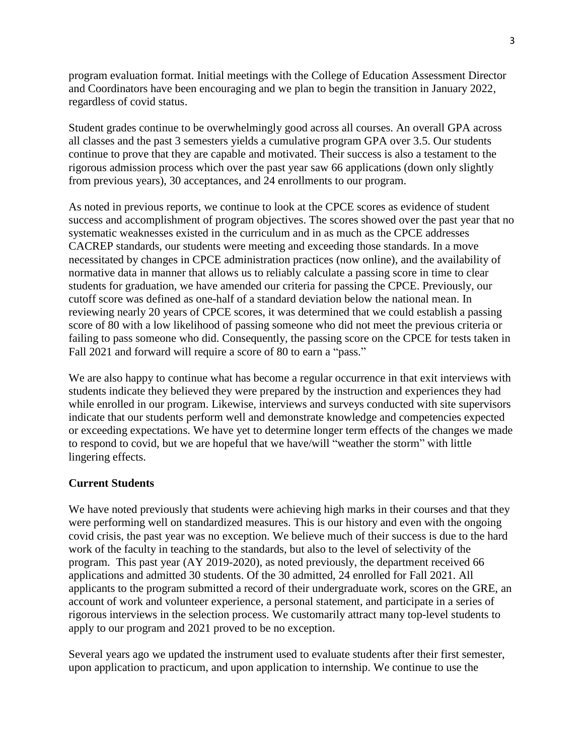program evaluation format. Initial meetings with the College of Education Assessment Director and Coordinators have been encouraging and we plan to begin the transition in January 2022, regardless of covid status.

Student grades continue to be overwhelmingly good across all courses. An overall GPA across all classes and the past 3 semesters yields a cumulative program GPA over 3.5. Our students continue to prove that they are capable and motivated. Their success is also a testament to the rigorous admission process which over the past year saw 66 applications (down only slightly from previous years), 30 acceptances, and 24 enrollments to our program.

As noted in previous reports, we continue to look at the CPCE scores as evidence of student success and accomplishment of program objectives. The scores showed over the past year that no systematic weaknesses existed in the curriculum and in as much as the CPCE addresses CACREP standards, our students were meeting and exceeding those standards. In a move necessitated by changes in CPCE administration practices (now online), and the availability of normative data in manner that allows us to reliably calculate a passing score in time to clear students for graduation, we have amended our criteria for passing the CPCE. Previously, our cutoff score was defined as one-half of a standard deviation below the national mean. In reviewing nearly 20 years of CPCE scores, it was determined that we could establish a passing score of 80 with a low likelihood of passing someone who did not meet the previous criteria or failing to pass someone who did. Consequently, the passing score on the CPCE for tests taken in Fall 2021 and forward will require a score of 80 to earn a "pass."

We are also happy to continue what has become a regular occurrence in that exit interviews with students indicate they believed they were prepared by the instruction and experiences they had while enrolled in our program. Likewise, interviews and surveys conducted with site supervisors indicate that our students perform well and demonstrate knowledge and competencies expected or exceeding expectations. We have yet to determine longer term effects of the changes we made to respond to covid, but we are hopeful that we have/will "weather the storm" with little lingering effects.

#### **Current Students**

We have noted previously that students were achieving high marks in their courses and that they were performing well on standardized measures. This is our history and even with the ongoing covid crisis, the past year was no exception. We believe much of their success is due to the hard work of the faculty in teaching to the standards, but also to the level of selectivity of the program. This past year (AY 2019-2020), as noted previously, the department received 66 applications and admitted 30 students. Of the 30 admitted, 24 enrolled for Fall 2021. All applicants to the program submitted a record of their undergraduate work, scores on the GRE, an account of work and volunteer experience, a personal statement, and participate in a series of rigorous interviews in the selection process. We customarily attract many top-level students to apply to our program and 2021 proved to be no exception.

Several years ago we updated the instrument used to evaluate students after their first semester, upon application to practicum, and upon application to internship. We continue to use the